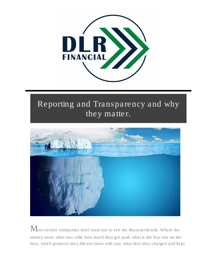

## Reporting and Transparency and why they matter.



 $\mathbf M$ ost service companies don't want you to see the financial details. Where the money went, what was sold, how much they got paid, what is the buy rate on the loan, which products they did not share with you, what fees they charged and kept.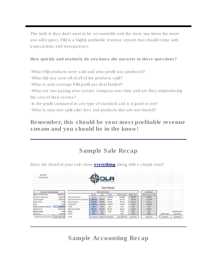The truth is they don't want to be accountable and the more you know the more you will expect. F&I is a highly profitable revenue stream that should come with expectations and transparency.

How quickly and routinely do you know the answers to these questions?

*-What F&I products were sold and what profit was produced?*

*-What did you earn off of all of the products sold?*

*-What is your average F&I profit per deal funded?*

*-What are you paying your service company over time and are they outproducing the cost of their service?*

*-Is the profit compared to any type of standard and is it good or not?*

*-What is your true split after fees and products that are not shared?*

Remember, this should be your most profitable revenue stream and you should be in the know!

## Sample Sale Recap

| 6/2/2017<br>Funded Date      |            |                                   |            |          | <b>ANCIAL</b>         |              |            |                    |            |              |  |
|------------------------------|------------|-----------------------------------|------------|----------|-----------------------|--------------|------------|--------------------|------------|--------------|--|
|                              |            |                                   |            |          | Sale Detail           |              |            |                    |            |              |  |
| Amount Financed Detail       |            | F&I Profit Dotail                 |            |          |                       |              |            | <b>ACH Dotail</b>  |            |              |  |
| Base Unit+Cotions            | 44,800.00  |                                   | Rotail     | Cost     | Profit:               | Dealer Share | DLRF Share | Withdrawal to DLRF |            |              |  |
| Trade in allowance           | 8,000.00   | Finance Reserve                   | 1,608.00   |          | 1,608.00              | 1,206.00     | 402.00     | 402.00             |            |              |  |
| Trade payoff                 | 6,000.00   | <b>Extended Service Contracts</b> | 1,500.00   | 900.00   | \$00.00               | 675.00       | 225.00     | 1,125.00           |            |              |  |
| Other fees.                  | 0.00       | Gap Insurance                     | 850.00     | 200.00   | 650.00                | 487.50       | 162.50     | 962.50             |            |              |  |
| lucc                         | 0.00       | Credit Life                       | 2,200.00   | 1,100.00 | 1,100.00              | 550.00       | 550.00     | 1,650.00           |            |              |  |
| F&I (excludes reserve)       | 5,650.00   | Theft                             | 0.00       | 0.00     | 0.00                  | 0.00         | 0.00       | 0.00               |            |              |  |
| Cash Down                    | 10,000.00  | Paint and Fabric                  | 800.00     | 400.00   | 400.00                | 300,00       | 100.00     | 500.00             |            |              |  |
| Dealer prep                  | 0.00       | Other                             | 0.00       | 0.00     | 0.00                  | 0.00         | 0.00       | 0.00               |            | Product Cost |  |
| Sales Tax                    | 1,750.00   | Other                             | <b>DK</b>  | 0.00     |                       | 0.00         | 0.00       | 0.00.              | DURF share | Bemittals    |  |
| <b>Total Amount Financed</b> | S40,200.00 | Total                             | \$7,258,00 |          | \$2,600.00 \$4,658.00 | \$3,218.50   | \$1,439.50 | \$4,039,50         | \$1,489.50 | \$2,600.00   |  |

Does the detail of your sale show **everything** along with a simple total?

Sample Accounting Recap